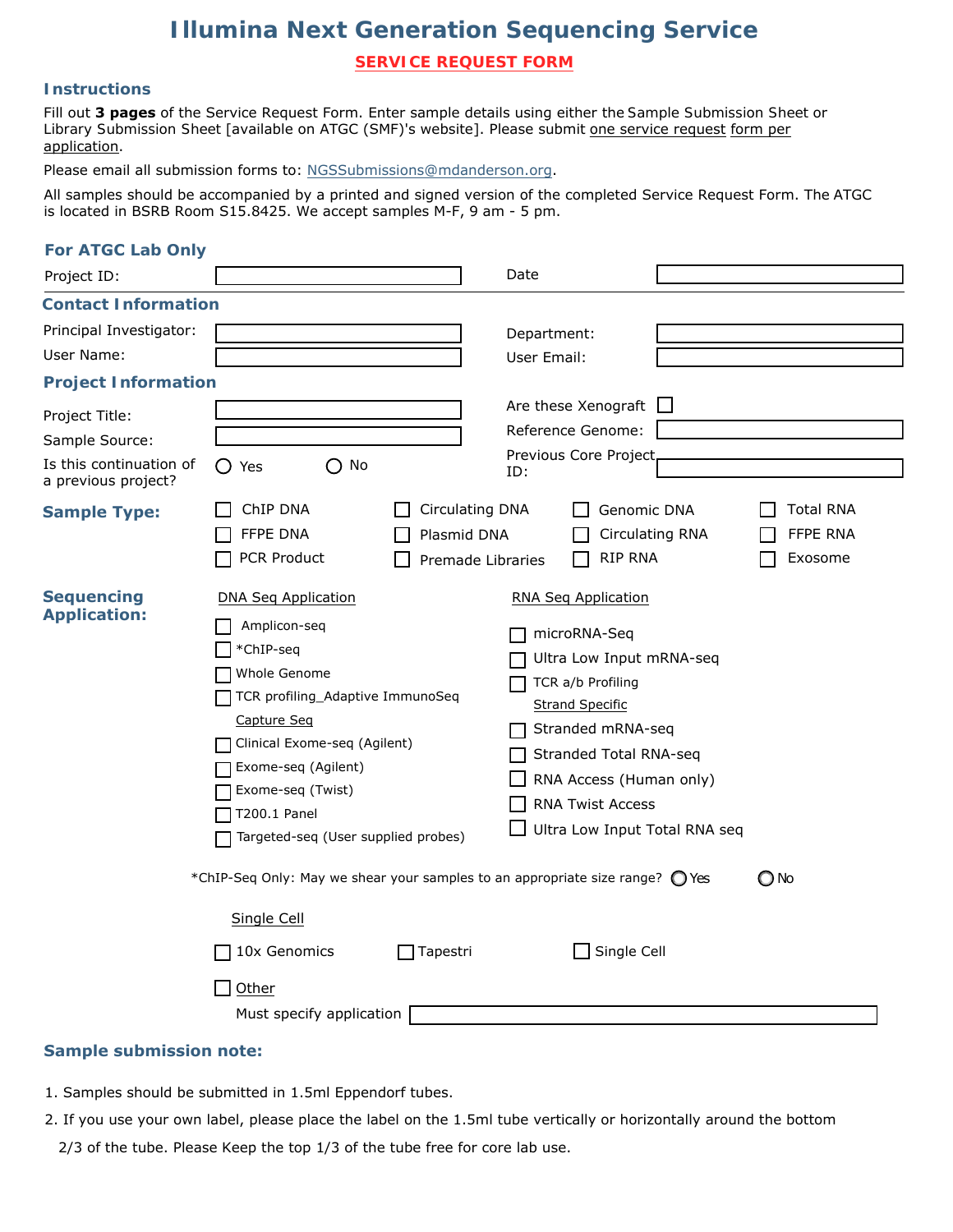# *Illumina Next Generation Sequencing Service*

**SERVICE REQUEST FORM**

# **Instructions**

Fill out **3 pages** of the Service Request Form. Enter sample details using either the *Sample Submission Sheet* or *Library Submission Sheet* [available on ATGC (SMF)'s website]. Please submit one service request form per application.

Please email all submission forms to: NGSSubmissions@mdanderson.org.

All samples should be accompanied by a printed and signed version of the completed Service Request Form. The ATGC is located in BSRB Room S15.8425. We accept samples M-F, 9 am - 5 pm.

| <b>For ATGC Lab Only</b>                       |                                                                                                                                                                                                                                                               |                                                     |             |                                                                                                                                                                                                                                                             |                                         |
|------------------------------------------------|---------------------------------------------------------------------------------------------------------------------------------------------------------------------------------------------------------------------------------------------------------------|-----------------------------------------------------|-------------|-------------------------------------------------------------------------------------------------------------------------------------------------------------------------------------------------------------------------------------------------------------|-----------------------------------------|
| Project ID:                                    |                                                                                                                                                                                                                                                               |                                                     | Date        |                                                                                                                                                                                                                                                             |                                         |
| <b>Contact Information</b>                     |                                                                                                                                                                                                                                                               |                                                     |             |                                                                                                                                                                                                                                                             |                                         |
| Principal Investigator:                        |                                                                                                                                                                                                                                                               |                                                     | Department: |                                                                                                                                                                                                                                                             |                                         |
| User Name:                                     |                                                                                                                                                                                                                                                               |                                                     | User Email: |                                                                                                                                                                                                                                                             |                                         |
| <b>Project Information</b>                     |                                                                                                                                                                                                                                                               |                                                     |             |                                                                                                                                                                                                                                                             |                                         |
| Project Title:                                 |                                                                                                                                                                                                                                                               |                                                     |             | Are these Xenograft                                                                                                                                                                                                                                         |                                         |
| Sample Source:                                 |                                                                                                                                                                                                                                                               |                                                     |             | Reference Genome:                                                                                                                                                                                                                                           |                                         |
| Is this continuation of<br>a previous project? | $\bigcirc$ No<br>$\bigcirc$ Yes                                                                                                                                                                                                                               |                                                     | ID:         | Previous Core Project                                                                                                                                                                                                                                       |                                         |
| <b>Sample Type:</b>                            | ChIP DNA<br>FFPE DNA<br>PCR Product                                                                                                                                                                                                                           | Circulating DNA<br>Plasmid DNA<br>Premade Libraries |             | Genomic DNA<br><b>Circulating RNA</b><br><b>RIP RNA</b>                                                                                                                                                                                                     | <b>Total RNA</b><br>FFPE RNA<br>Exosome |
| <b>Sequencing</b><br><b>Application:</b>       | <b>DNA Seq Application</b><br>Amplicon-seq<br>*ChIP-seq<br>Whole Genome<br>TCR profiling_Adaptive ImmunoSeq<br>Capture Seq<br>Clinical Exome-seq (Agilent)<br>Exome-seq (Agilent)<br>Exome-seq (Twist)<br>T200.1 Panel<br>Targeted-seq (User supplied probes) |                                                     |             | <b>RNA Seq Application</b><br>microRNA-Seq<br>Ultra Low Input mRNA-seq<br>TCR a/b Profiling<br><b>Strand Specific</b><br>Stranded mRNA-seq<br>Stranded Total RNA-seq<br>RNA Access (Human only)<br><b>RNA Twist Access</b><br>Ultra Low Input Total RNA seq |                                         |
|                                                | *ChIP-Seq Only: May we shear your samples to an appropriate size range? (C) Yes                                                                                                                                                                               |                                                     |             |                                                                                                                                                                                                                                                             | O No                                    |
|                                                | Single Cell<br>10x Genomics<br>Other<br>Must specify application                                                                                                                                                                                              | Tapestri                                            |             | Single Cell                                                                                                                                                                                                                                                 |                                         |
|                                                |                                                                                                                                                                                                                                                               |                                                     |             |                                                                                                                                                                                                                                                             |                                         |

## **Sample submission note:**

- 1. Samples should be submitted in 1.5ml Eppendorf tubes.
- 2. If you use your own label, please place the label on the 1.5ml tube vertically or horizontally around the bottom

2/3 of the tube. Please Keep the top 1/3 of the tube free for core lab use.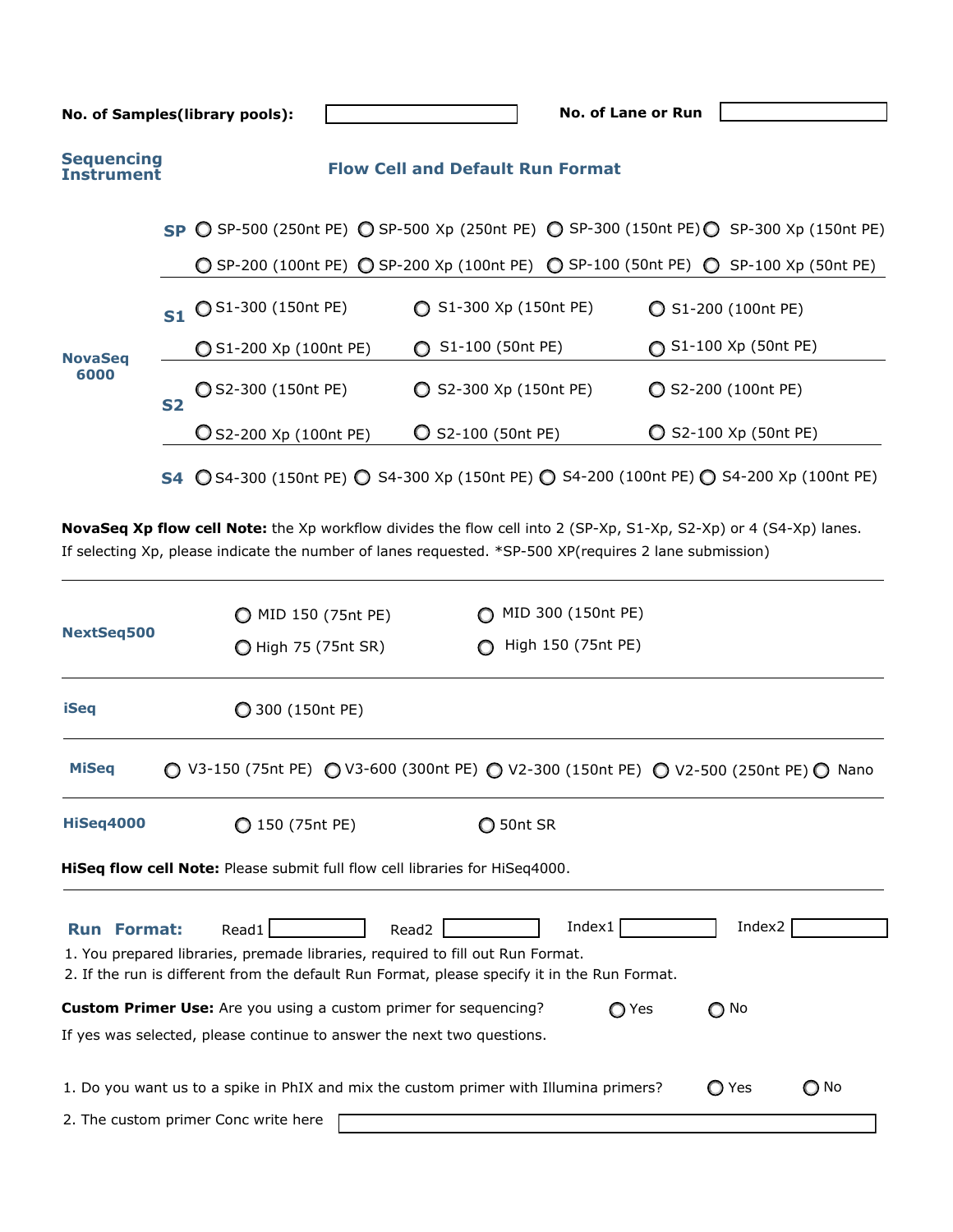|                                                                            |           | No. of Samples(library pools):                                                      | No. of Lane or Run                                                                       |                                                                                          |  |
|----------------------------------------------------------------------------|-----------|-------------------------------------------------------------------------------------|------------------------------------------------------------------------------------------|------------------------------------------------------------------------------------------|--|
| <b>Sequencing</b><br><b>Flow Cell and Default Run Format</b><br>Instrument |           |                                                                                     |                                                                                          |                                                                                          |  |
|                                                                            |           |                                                                                     |                                                                                          | SP ◯ SP-500 (250nt PE) ◯ SP-500 Xp (250nt PE) ◯ SP-300 (150nt PE) ◯ SP-300 Xp (150nt PE) |  |
| <b>NovaSeq</b><br>6000                                                     |           | ◯ SP-200 (100nt PE) ◯ SP-200 Xp (100nt PE) ◯ SP-100 (50nt PE) ◯ SP-100 Xp (50nt PE) |                                                                                          |                                                                                          |  |
|                                                                            | S1        | ◯ S1-300 (150nt PE)                                                                 | S1-300 Xp (150nt PE)                                                                     | $O$ S1-200 (100nt PE)                                                                    |  |
|                                                                            |           | ◯ S1-200 Xp (100nt PE)                                                              | S1-100 (50nt PE)<br>$\bigcirc$                                                           | ◯ S1-100 Xp (50nt PE)                                                                    |  |
|                                                                            | <b>S2</b> | ◯ S2-300 (150nt PE)                                                                 | ◯ S2-300 Xp (150nt PE)                                                                   | S2-200 (100nt PE)                                                                        |  |
|                                                                            |           | O S2-200 Xp (100nt PE)                                                              | S2-100 (50nt PE)                                                                         | $\bigcirc$ S2-100 Xp (50nt PE)                                                           |  |
|                                                                            |           |                                                                                     | S4 ◯ S4-300 (150nt PE) ◯ S4-300 Xp (150nt PE) ◯ S4-200 (100nt PE) ◯ S4-200 Xp (100nt PE) |                                                                                          |  |

**NovaSeq Xp flow cell Note:** the Xp workflow divides the flow cell into 2 (SP-Xp, S1-Xp, S2-Xp) or 4 (S4-Xp) lanes. If selecting Xp, please indicate the number of lanes requested. \*SP-500 XP(requires 2 lane submission)

| <b>NextSeq500</b>                                                                  | MID 150 (75nt PE)<br>◯ High 75 (75nt SR)                                                                                                          | MID 300 (150nt PE)<br>High 150 (75nt PE)                                                                  |               |      |  |
|------------------------------------------------------------------------------------|---------------------------------------------------------------------------------------------------------------------------------------------------|-----------------------------------------------------------------------------------------------------------|---------------|------|--|
| <b>iSeq</b>                                                                        | ◯ 300 (150nt PE)                                                                                                                                  |                                                                                                           |               |      |  |
| <b>MiSeq</b>                                                                       |                                                                                                                                                   | ○ V3-150 (75nt PE) ○ V3-600 (300nt PE) ○ V2-300 (150nt PE) ○ V2-500 (250nt PE) ○ Nano                     |               |      |  |
| <b>HiSeq4000</b>                                                                   | ◯ 150 (75nt PE)                                                                                                                                   | ◯ 50nt SR                                                                                                 |               |      |  |
| <b>HiSeq flow cell Note:</b> Please submit full flow cell libraries for HiSeq4000. |                                                                                                                                                   |                                                                                                           |               |      |  |
| <b>Run Format:</b>                                                                 | Read1<br>Read2<br>1. You prepared libraries, premade libraries, required to fill out Run Format.                                                  | Index $1$<br>2. If the run is different from the default Run Format, please specify it in the Run Format. | Index2        |      |  |
|                                                                                    | <b>Custom Primer Use:</b> Are you using a custom primer for sequencing?<br>If yes was selected, please continue to answer the next two questions. | ◯ Yes                                                                                                     | $\bigcirc$ No |      |  |
| 2. The custom primer Conc write here                                               |                                                                                                                                                   | 1. Do you want us to a spike in PhIX and mix the custom primer with Illumina primers?                     | O<br>Yes      | ∩ No |  |